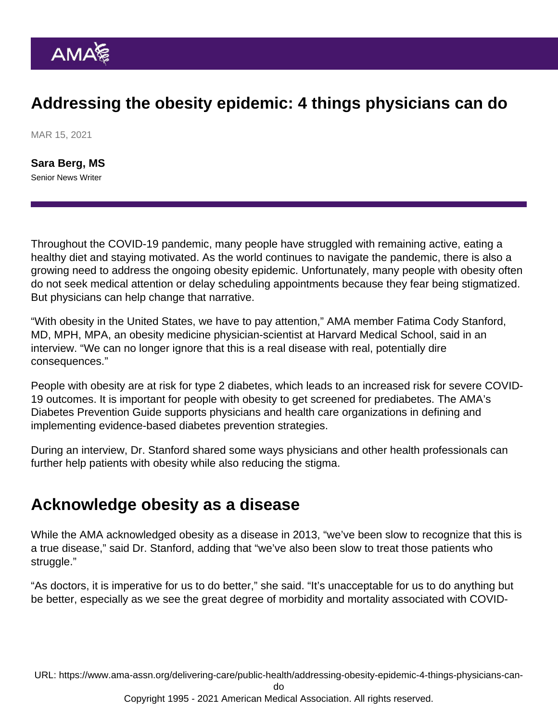### Addressing the obesity epidemic: 4 things physicians can do

MAR 15, 2021

[Sara Berg, MS](https://www.ama-assn.org/news-leadership-viewpoints/authors-news-leadership-viewpoints/sara-berg-ms) Senior News Writer

Throughout the COVID-19 pandemic, many people have struggled with remaining active, eating a healthy diet and staying motivated. As the world continues to navigate the pandemic, there is also a growing need to address the ongoing obesity epidemic. Unfortunately, many people with obesity often do not seek medical attention or delay scheduling appointments because they fear being stigmatized. But physicians can help change that narrative.

"With obesity in the United States, we have to pay attention," AMA member [Fatima Cody Stanford,](https://www.ama-assn.org/member-groups-sections/minority-affairs/fatima-cody-stanford-md-mpa-mph) [MD, MPH, MPA,](https://www.ama-assn.org/member-groups-sections/minority-affairs/fatima-cody-stanford-md-mpa-mph) an obesity medicine physician-scientist at Harvard Medical School, said in an interview. "We can no longer ignore that this is a real disease with real, potentially dire consequences."

People with obesity are at risk for type 2 diabetes, which leads to an increased risk for severe COVID-19 outcomes. It is important for people with obesity to get screened for prediabetes. The AMA's [Diabetes Prevention Guide](http://www.amapreventdiabetes.org/) supports physicians and health care organizations in defining and implementing evidence-based diabetes prevention strategies.

During an interview, [Dr. Stanford](https://www.ama-assn.org/residents-students/specialty-profiles/what-it-s-specialize-obesity-medicine-shadowing-dr-stanford) shared some ways physicians and other health professionals can further help patients with obesity while also reducing the stigma.

#### Acknowledge obesity as a disease

While the [AMA acknowledged obesity as a disease](https://policysearch.ama-assn.org/policyfinder/detail/obesity?uri=/AMADoc/HOD.xml-0-3858.xml) in 2013, "we've been slow to recognize that this is a true disease," said Dr. Stanford, adding that "we've also been slow to treat those patients who struggle."

"As doctors, it is imperative for us to do better," she said. "It's unacceptable for us to do anything but be better, especially as we see the great degree of morbidity and mortality associated with COVID-

URL: [https://www.ama-assn.org/delivering-care/public-health/addressing-obesity-epidemic-4-things-physicians-can-](https://www.ama-assn.org/delivering-care/public-health/addressing-obesity-epidemic-4-things-physicians-can-do)

[do](https://www.ama-assn.org/delivering-care/public-health/addressing-obesity-epidemic-4-things-physicians-can-do)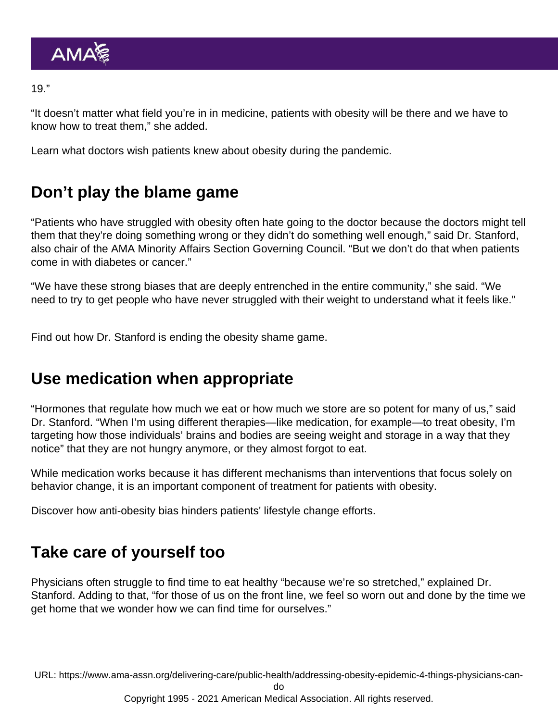19."

"It doesn't matter what field you're in in medicine, patients with obesity will be there and we have to know how to treat them," she added.

Learn [what doctors wish patients knew about obesity during the pandemic.](https://www.ama-assn.org/delivering-care/public-health/what-doctors-wish-patients-knew-about-obesity-during-pandemic)

# Don't play the blame game

"Patients who have struggled with obesity often hate going to the doctor because the doctors might tell them that they're doing something wrong or they didn't do something well enough," said Dr. Stanford, also chair of the [AMA Minority Affairs Section Governing Council](https://www.ama-assn.org/member-groups-sections/minority-affairs/minority-affairs-section-mas-governing-council). "But we don't do that when patients come in with diabetes or cancer."

"We have these strong biases that are deeply entrenched in the entire community," she said. "We need to try to get people who have never struggled with their weight to understand what it feels like."

Find out how Dr. Stanford is [ending the obesity shame game](https://www.ama-assn.org/delivering-care/public-health/ending-obesity-shame-game).

### Use medication when appropriate

"Hormones that regulate how much we eat or how much we store are so potent for many of us," said Dr. Stanford. "When I'm using different therapies—like medication, for example—to treat obesity, I'm targeting how those individuals' brains and bodies are seeing weight and storage in a way that they notice" that they are not hungry anymore, or they almost forgot to eat.

While medication works because it has different mechanisms than interventions that focus solely on behavior change, it is an important component of treatment for patients with obesity.

Discover [how anti-obesity bias hinders patients' lifestyle change efforts](https://www.ama-assn.org/delivering-care/public-health/how-anti-obesity-bias-hinders-patients-lifestyle-change-efforts).

# Take care of yourself too

Physicians often struggle to find time to eat healthy "because we're so stretched," explained Dr. Stanford. Adding to that, "for those of us on the front line, we feel so worn out and done by the time we get home that we wonder how we can find time for ourselves."

URL: [https://www.ama-assn.org/delivering-care/public-health/addressing-obesity-epidemic-4-things-physicians-can-](https://www.ama-assn.org/delivering-care/public-health/addressing-obesity-epidemic-4-things-physicians-can-do)

[do](https://www.ama-assn.org/delivering-care/public-health/addressing-obesity-epidemic-4-things-physicians-can-do)